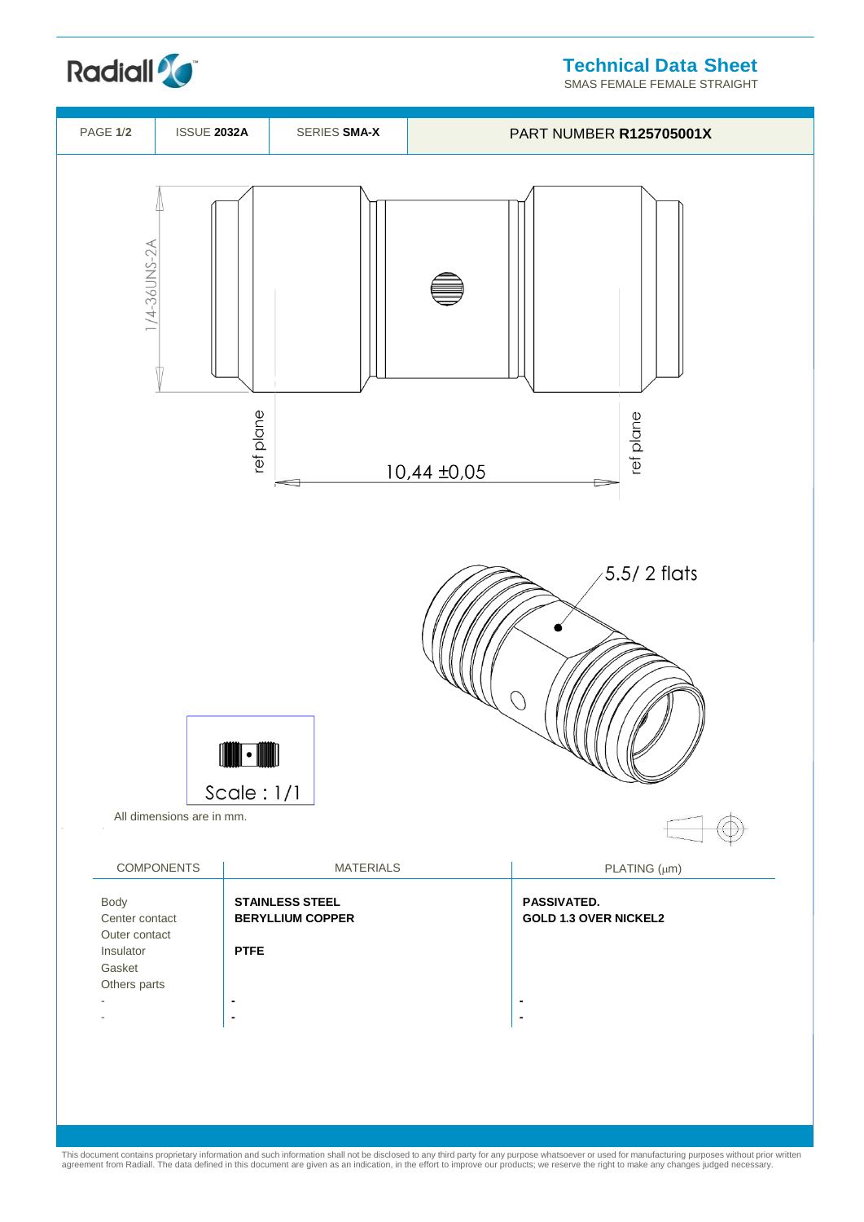**Technical Data Sheet**

SMAS FEMALE FEMALE STRAIGHT





This document contains proprietary information and such information shall not be disclosed to any third party for any purpose whatsoever or used for manufacturing purposes without prior written<br>agreement from Radiall. The